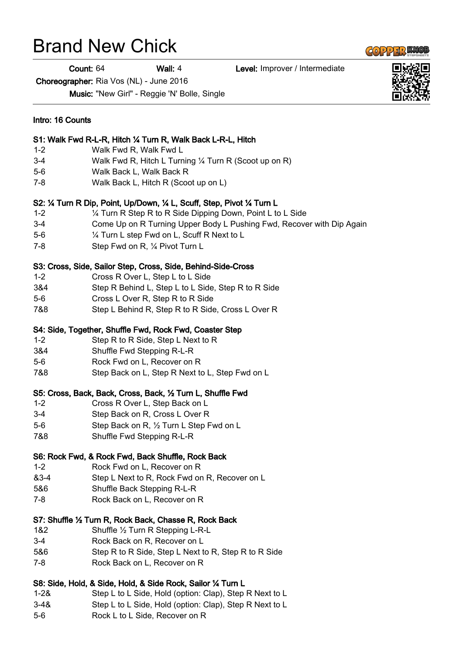## Brand New Chick

Count: 64 Wall: 4 Level: Improver / Intermediate

Choreographer: Ria Vos (NL) - June 2016

Music: "New Girl" - Reggie 'N' Bolle, Single

| Intro: 16 Counts<br>S1: Walk Fwd R-L-R, Hitch 1/4 Turn R, Walk Back L-R-L, Hitch |                                                                          |
|----------------------------------------------------------------------------------|--------------------------------------------------------------------------|
|                                                                                  |                                                                          |
| $3-4$                                                                            | Walk Fwd R, Hitch L Turning 1/4 Turn R (Scoot up on R)                   |
| $5-6$                                                                            | Walk Back L, Walk Back R                                                 |
| $7 - 8$                                                                          | Walk Back L, Hitch R (Scoot up on L)                                     |
|                                                                                  | S2: 1/4 Turn R Dip, Point, Up/Down, 1/4 L, Scuff, Step, Pivot 1/4 Turn L |
| $1 - 2$                                                                          | 1/4 Turn R Step R to R Side Dipping Down, Point L to L Side              |
| $3-4$                                                                            | Come Up on R Turning Upper Body L Pushing Fwd, Recover with Dip Again    |
| $5-6$                                                                            | 1/4 Turn L step Fwd on L, Scuff R Next to L                              |
| 7-8                                                                              | Step Fwd on R, 1/4 Pivot Turn L                                          |
|                                                                                  | S3: Cross, Side, Sailor Step, Cross, Side, Behind-Side-Cross             |
| $1 - 2$                                                                          | Cross R Over L, Step L to L Side                                         |
| 3&4                                                                              | Step R Behind L, Step L to L Side, Step R to R Side                      |
| $5-6$                                                                            | Cross L Over R, Step R to R Side                                         |
| 7&8                                                                              | Step L Behind R, Step R to R Side, Cross L Over R                        |
|                                                                                  | S4: Side, Together, Shuffle Fwd, Rock Fwd, Coaster Step                  |
| $1 - 2$                                                                          | Step R to R Side, Step L Next to R                                       |
| 3&4                                                                              | Shuffle Fwd Stepping R-L-R                                               |
| $5-6$                                                                            | Rock Fwd on L, Recover on R                                              |
| 7&8                                                                              | Step Back on L, Step R Next to L, Step Fwd on L                          |
|                                                                                  | S5: Cross, Back, Back, Cross, Back, 1/2 Turn L, Shuffle Fwd              |
| $1 - 2$                                                                          | Cross R Over L, Step Back on L                                           |
| $3-4$                                                                            | Step Back on R, Cross L Over R                                           |
| $5-6$                                                                            | Step Back on R, 1/2 Turn L Step Fwd on L                                 |
| 7&8                                                                              | Shuffle Fwd Stepping R-L-R                                               |
|                                                                                  | S6: Rock Fwd, & Rock Fwd, Back Shuffle, Rock Back                        |
| $1 - 2$                                                                          | Rock Fwd on L, Recover on R                                              |
| 83-4                                                                             | Step L Next to R, Rock Fwd on R, Recover on L                            |
| 5&6                                                                              | Shuffle Back Stepping R-L-R                                              |
| 7-8                                                                              | Rock Back on L, Recover on R                                             |
|                                                                                  |                                                                          |
|                                                                                  | S7: Shuffle 1/2 Turn R, Rock Back, Chasse R, Rock Back                   |
| 1&2                                                                              | Shuffle 1/2 Turn R Stepping L-R-L                                        |
| $3-4$                                                                            | Rock Back on R, Recover on L                                             |
| 5&6                                                                              | Step R to R Side, Step L Next to R, Step R to R Side                     |
| 7-8                                                                              | Rock Back on L, Recover on R                                             |
|                                                                                  | S8: Side, Hold, & Side, Hold, & Side Rock, Sailor 1/4 Turn L             |
| $1 - 28$                                                                         | Step L to L Side, Hold (option: Clap), Step R Next to L                  |
| $3 - 48$                                                                         | Step L to L Side, Hold (option: Clap), Step R Next to L                  |
| $5-6$                                                                            | Rock L to L Side, Recover on R                                           |